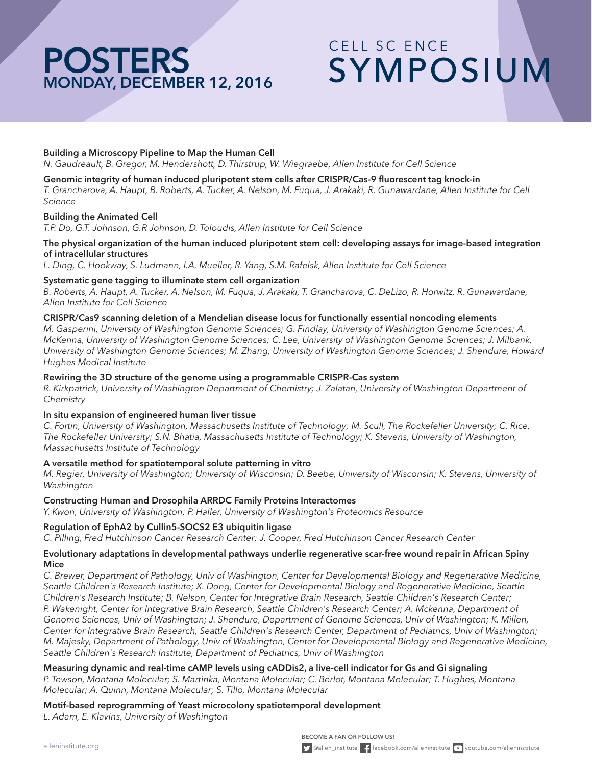# **POSTERS** MONDAY, DECEMBER 12, 2016

# CFII SCIENCE SYMPOSIUM

# Building a Microscopy Pipeline to Map the Human Cell

*N. Gaudreault, B. Gregor, M. Hendershott, D. Thirstrup, W. Wiegraebe, Allen Institute for Cell Science*

### Genomic integrity of human induced pluripotent stem cells after CRISPR/Cas-9 fluorescent tag knock-in

*T. Grancharova, A. Haupt, B. Roberts, A. Tucker, A. Nelson, M. Fuqua, J. Arakaki, R. Gunawardane, Allen Institute for Cell Science*

### Building the Animated Cell

*T.P. Do, G.T. Johnson, G.R Johnson, D. Toloudis, Allen Institute for Cell Science*

### The physical organization of the human induced pluripotent stem cell: developing assays for image-based integration of intracellular structures

*L. Ding, C. Hookway, S. Ludmann, I.A. Mueller, R. Yang, S.M. Rafelsk, Allen Institute for Cell Science*

### Systematic gene tagging to illuminate stem cell organization

*B. Roberts, A. Haupt, A. Tucker, A. Nelson, M. Fuqua, J. Arakaki, T. Grancharova, C. DeLizo, R. Horwitz, R. Gunawardane, Allen Institute for Cell Science*

### CRISPR/Cas9 scanning deletion of a Mendelian disease locus for functionally essential noncoding elements

*M. Gasperini, University of Washington Genome Sciences; G. Findlay, University of Washington Genome Sciences; A. McKenna, University of Washington Genome Sciences; C. Lee, University of Washington Genome Sciences; J. Milbank, University of Washington Genome Sciences; M. Zhang, University of Washington Genome Sciences; J. Shendure, Howard Hughes Medical Institute* 

### Rewiring the 3D structure of the genome using a programmable CRISPR-Cas system

*R. Kirkpatrick, University of Washington Department of Chemistry; J. Zalatan, University of Washington Department of Chemistry* 

### In situ expansion of engineered human liver tissue

*C. Fortin, University of Washington, Massachusetts Institute of Technology; M. Scull, The Rockefeller University; C. Rice, The Rockefeller University; S.N. Bhatia, Massachusetts Institute of Technology; K. Stevens, University of Washington, Massachusetts Institute of Technology* 

### A versatile method for spatiotemporal solute patterning in vitro

*M. Regier, University of Washington; University of Wisconsin; D. Beebe, University of Wisconsin; K. Stevens, University of Washington*

### Constructing Human and Drosophila ARRDC Family Proteins Interactomes

*Y. Kwon, University of Washington; P. Haller, University of Washington's Proteomics Resource* 

### Regulation of EphA2 by Cullin5-SOCS2 E3 ubiquitin ligase

*C. Pilling, Fred Hutchinson Cancer Research Center; J. Cooper, Fred Hutchinson Cancer Research Center* 

### Evolutionary adaptations in developmental pathways underlie regenerative scar-free wound repair in African Spiny Mice

*C. Brewer, Department of Pathology, Univ of Washington, Center for Developmental Biology and Regenerative Medicine, Seattle Children's Research Institute; X. Dong, Center for Developmental Biology and Regenerative Medicine, Seattle Children's Research Institute; B. Nelson, Center for Integrative Brain Research, Seattle Children's Research Center; P. Wakenight, Center for Integrative Brain Research, Seattle Children's Research Center; A. Mckenna, Department of Genome Sciences, Univ of Washington; J. Shendure, Department of Genome Sciences, Univ of Washington; K. Millen, Center for Integrative Brain Research, Seattle Children's Research Center, Department of Pediatrics, Univ of Washington; M. Majesky, Department of Pathology, Univ of Washington, Center for Developmental Biology and Regenerative Medicine, Seattle Children's Research Institute, Department of Pediatrics, Univ of Washington* 

### Measuring dynamic and real-time cAMP levels using cADDis2, a live-cell indicator for Gs and Gi signaling *P. Tewson, Montana Molecular; S. Martinka, Montana Molecular; C. Berlot, Montana Molecular; T. Hughes, Montana Molecular; A. Quinn, Montana Molecular; S. Tillo, Montana Molecular*

Motif-based reprogramming of Yeast microcolony spatiotemporal development *L. Adam, E. Klavins, University of Washington*

BECOME A FAN OR FOLLOW US!  $\sum$  @allen\_institute  $\left| \cdot \right|$  facebook.com/alleninstitute  $\sum$  youtube.com/alleninstitute